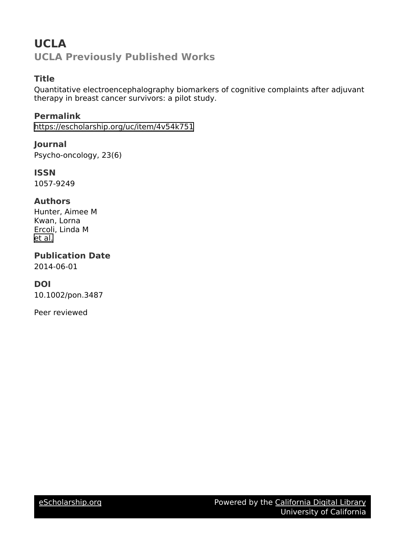# **UCLA UCLA Previously Published Works**

# **Title**

Quantitative electroencephalography biomarkers of cognitive complaints after adjuvant therapy in breast cancer survivors: a pilot study.

**Permalink** <https://escholarship.org/uc/item/4v54k751>

**Journal** Psycho-oncology, 23(6)

**ISSN** 1057-9249

## **Authors**

Hunter, Aimee M Kwan, Lorna Ercoli, Linda M [et al.](https://escholarship.org/uc/item/4v54k751#author)

**Publication Date** 2014-06-01

# **DOI**

10.1002/pon.3487

Peer reviewed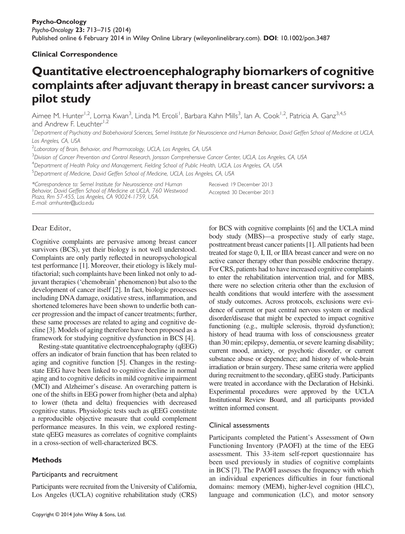## Clinical Correspondence

# Quantitative electroencephalography biomarkers of cognitive complaints after adjuvant therapy in breast cancer survivors: a pilot study

Aimee M. Hunter<sup>1,2</sup>, Lorna Kwan<sup>3</sup>, Linda M. Ercoli<sup>1</sup>, Barbara Kahn Mills<sup>3</sup>, lan A. Cook<sup>1,2</sup>, Patricia A. Ganz<sup>3,4,5</sup> and Andrew F. Leuchter<sup>1,2</sup>

<sup>1</sup>Department of Psychiatry and Biobehavioral Sciences, Semel Institute for Neuroscience and Human Behavior, David Geffen School of Medicine at UCLA, Los Angeles, CA, USA

<sup>2</sup> Laboratory of Brain, Behavior, and Pharmacology, UCLA, Los Angeles, CA, USA

<sup>3</sup>Division of Cancer Prevention and Control Research, Jonsson Comprehensive Cancer Center, UCLA, Los Angeles, CA, USA

<sup>4</sup>Department of Health Policy and Management, Fielding School of Public Health, UCLA, Los Angeles, CA, USA

<sup>5</sup>Department of Medicine, David Geffen School of Medicine, UCLA, Los Angeles, CA, USA

\*Correspondence to: Semel Institute for Neuroscience and Human Behavior, David Geffen School of Medicine at UCLA, 760 Westwood Plaza, Rm 57-455, Los Angeles, CA 90024-1759, USA. E-mail: amhunter@ucla.edu

Received: 19 December 2013 Accepted: 30 December 2013

## Dear Editor,

Cognitive complaints are pervasive among breast cancer survivors (BCS), yet their biology is not well understood. Complaints are only partly reflected in neuropsychological test performance [1]. Moreover, their etiology is likely multifactorial; such complaints have been linked not only to adjuvant therapies ('chemobrain' phenomenon) but also to the development of cancer itself [2]. In fact, biologic processes including DNA damage, oxidative stress, inflammation, and shortened telomeres have been shown to underlie both cancer progression and the impact of cancer treatments; further, these same processes are related to aging and cognitive decline [3]. Models of aging therefore have been proposed as a framework for studying cognitive dysfunction in BCS [4].

Resting-state quantitative electroencephalography (qEEG) offers an indicator of brain function that has been related to aging and cognitive function [5]. Changes in the restingstate EEG have been linked to cognitive decline in normal aging and to cognitive deficits in mild cognitive impairment (MCI) and Alzheimer's disease. An overarching pattern is one of the shifts in EEG power from higher (beta and alpha) to lower (theta and delta) frequencies with decreased cognitive status. Physiologic tests such as qEEG constitute a reproducible objective measure that could complement performance measures. In this vein, we explored restingstate qEEG measures as correlates of cognitive complaints in a cross-section of well-characterized BCS.

## **Methods**

#### Participants and recruitment

Participants were recruited from the University of California, Los Angeles (UCLA) cognitive rehabilitation study (CRS) for BCS with cognitive complaints [6] and the UCLA mind body study (MBS)—a prospective study of early stage, posttreatment breast cancer patients [1]. All patients had been treated for stage 0, I, II, or IIIA breast cancer and were on no active cancer therapy other than possible endocrine therapy. For CRS, patients had to have increased cognitive complaints to enter the rehabilitation intervention trial, and for MBS, there were no selection criteria other than the exclusion of health conditions that would interfere with the assessment of study outcomes. Across protocols, exclusions were evidence of current or past central nervous system or medical disorder/disease that might be expected to impact cognitive functioning (e.g., multiple sclerosis, thyroid dysfunction); history of head trauma with loss of consciousness greater than 30 min; epilepsy, dementia, or severe learning disability; current mood, anxiety, or psychotic disorder, or current substance abuse or dependence; and history of whole-brain irradiation or brain surgery. These same criteria were applied during recruitment to the secondary, qEEG study. Participants were treated in accordance with the Declaration of Helsinki. Experimental procedures were approved by the UCLA Institutional Review Board, and all participants provided written informed consent.

#### Clinical assessments

Participants completed the Patient's Assessment of Own Functioning Inventory (PAOFI) at the time of the EEG assessment. This 33-item self-report questionnaire has been used previously in studies of cognitive complaints in BCS [7]. The PAOFI assesses the frequency with which an individual experiences difficulties in four functional domains: memory (MEM), higher-level cognition (HLC), language and communication (LC), and motor sensory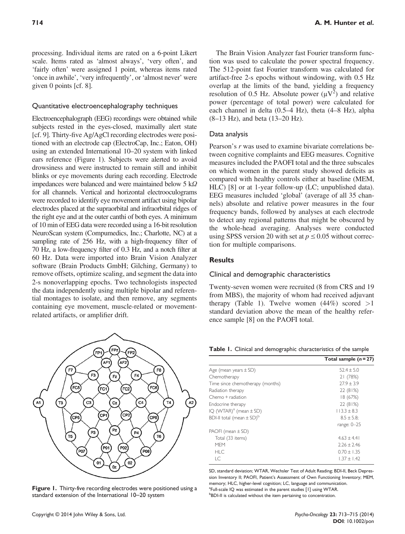#### Quantitative electroencephalography techniques

Electroencephalograph (EEG) recordings were obtained while subjects rested in the eyes-closed, maximally alert state [cf. 9]. Thirty-five Ag/AgCl recording electrodes were positioned with an electrode cap (ElectroCap, Inc.; Eaton, OH) using an extended International 10–20 system with linked ears reference (Figure 1). Subjects were alerted to avoid drowsiness and were instructed to remain still and inhibit blinks or eye movements during each recording. Electrode impedances were balanced and were maintained below 5 kΩ for all channels. Vertical and horizontal electrooculograms were recorded to identify eye movement artifact using bipolar electrodes placed at the supraorbital and infraorbital ridges of the right eye and at the outer canthi of both eyes. A minimum of 10 min of EEG data were recorded using a 16-bit resolution NeuroScan system (Compumedics, Inc.; Charlotte, NC) at a sampling rate of 256 Hz, with a high-frequency filter of 70 Hz, a low-frequency filter of 0.3 Hz, and a notch filter at 60 Hz. Data were imported into Brain Vision Analyzer software (Brain Products GmbH; Gilching, Germany) to remove offsets, optimize scaling, and segment the data into 2-s nonoverlapping epochs. Two technologists inspected the data independently using multiple bipolar and referential montages to isolate, and then remove, any segments containing eye movement, muscle-related or movementrelated artifacts, or amplifier drift.



Figure 1. Thirty-five recording electrodes were positioned using a standard extension of the International 10–20 system

The Brain Vision Analyzer fast Fourier transform function was used to calculate the power spectral frequency. The 512-point fast Fourier transform was calculated for artifact-free 2-s epochs without windowing, with 0.5 Hz overlap at the limits of the band, yielding a frequency resolution of 0.5 Hz. Absolute power  $(\mu V^2)$  and relative power (percentage of total power) were calculated for each channel in delta (0.5–4 Hz), theta (4–8 Hz), alpha (8–13 Hz), and beta (13–20 Hz).

#### Data analysis

Pearson's r was used to examine bivariate correlations between cognitive complaints and EEG measures. Cognitive measures included the PAOFI total and the three subscales on which women in the parent study showed deficits as compared with healthy controls either at baseline (MEM, HLC) [8] or at 1-year follow-up (LC; unpublished data). EEG measures included 'global' (average of all 35 channels) absolute and relative power measures in the four frequency bands, followed by analyses at each electrode to detect any regional patterns that might be obscured by the whole-head averaging. Analyses were conducted using SPSS version 20 with set at  $p \le 0.05$  without correction for multiple comparisons.

#### **Results**

#### Clinical and demographic characteristics

Twenty-seven women were recruited (8 from CRS and 19 from MBS), the majority of whom had received adjuvant therapy (Table 1). Twelve women  $(44%)$  scored  $>1$ standard deviation above the mean of the healthy reference sample [8] on the PAOFI total.

| Table I. Clinical and demographic characteristics of the sample |  |  |  |
|-----------------------------------------------------------------|--|--|--|
|-----------------------------------------------------------------|--|--|--|

| Total sample $(n=27)$ |  |
|-----------------------|--|
| $52.4 + 5.0$          |  |
| 21(78%)               |  |
| $77.9 + 3.9$          |  |
| 22(81%)               |  |
| 18(67%)               |  |
| 22(81%)               |  |
| $113.3 + 8.3$         |  |
| $8.5 \pm 5.8$         |  |
| range: $0 - 25$       |  |
|                       |  |
| $4.63 + 4.41$         |  |
| $2.26 + 2.46$         |  |
| $0.70 + 1.35$         |  |
| $1.37 + 1.42$         |  |
|                       |  |

SD, standard deviation; WTAR, Wechsler Test of Adult Reading; BDI-II, Beck Depression Inventory II; PAOFI, Patient's Assessment of Own Functioning Inventory; MEM, memory; HLC, higher-level cognition; LC, language and communication. <sup>a</sup>Full-scale IQ was estimated in the parent studies [1] using WTAR. **BDI-II** is calculated without the item pertaining to concentration.